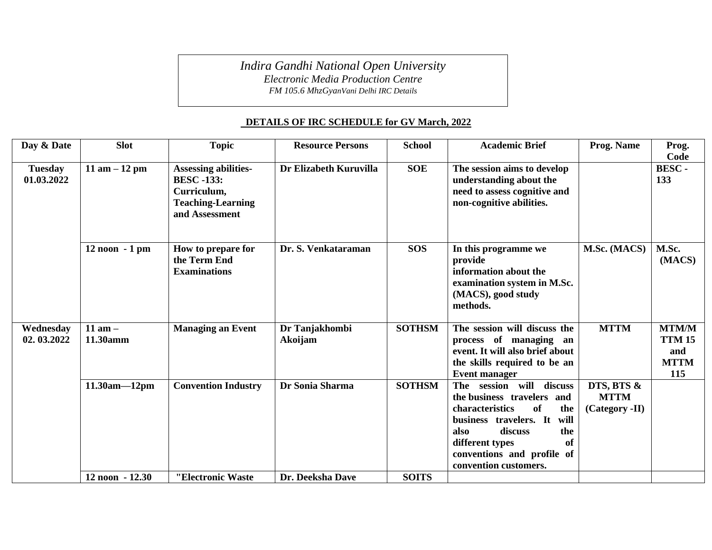*Indira Gandhi National Open University*

*Electronic Media Production Centre*

*FM 105.6 MhzGyanVani Delhi IRC Details*

## **DETAILS OF IRC SCHEDULE for GV March, 2022**

| Day & Date                   | <b>Slot</b>             | <b>Topic</b>                                                                                                  | <b>Resource Persons</b>   | <b>School</b> | <b>Academic Brief</b>                                                                                                                                                                                                                    | Prog. Name                                  | Prog.                                                      |
|------------------------------|-------------------------|---------------------------------------------------------------------------------------------------------------|---------------------------|---------------|------------------------------------------------------------------------------------------------------------------------------------------------------------------------------------------------------------------------------------------|---------------------------------------------|------------------------------------------------------------|
|                              |                         |                                                                                                               |                           |               |                                                                                                                                                                                                                                          |                                             | Code                                                       |
| <b>Tuesday</b><br>01.03.2022 | 11 am $-12$ pm          | <b>Assessing abilities-</b><br><b>BESC -133:</b><br>Curriculum,<br><b>Teaching-Learning</b><br>and Assessment | Dr Elizabeth Kuruvilla    | <b>SOE</b>    | The session aims to develop<br>understanding about the<br>need to assess cognitive and<br>non-cognitive abilities.                                                                                                                       |                                             | BESC-<br>133                                               |
|                              | $12$ noon $-1$ pm       | How to prepare for<br>the Term End<br><b>Examinations</b>                                                     | Dr. S. Venkataraman       | <b>SOS</b>    | In this programme we<br>provide<br>information about the<br>examination system in M.Sc.<br>(MACS), good study<br>methods.                                                                                                                | M.Sc. (MACS)                                | M.Sc.<br>(MACS)                                            |
| Wednesday<br>02.03.2022      | $11$ am $-$<br>11.30amm | <b>Managing an Event</b>                                                                                      | Dr Tanjakhombi<br>Akoijam | <b>SOTHSM</b> | The session will discuss the<br>process of managing an<br>event. It will also brief about<br>the skills required to be an<br><b>Event manager</b>                                                                                        | <b>MTTM</b>                                 | <b>MTM/M</b><br><b>TTM 15</b><br>and<br><b>MTTM</b><br>115 |
|                              | $11.30am - 12pm$        | <b>Convention Industry</b>                                                                                    | Dr Sonia Sharma           | <b>SOTHSM</b> | session will discuss<br>The<br>the business travelers<br>and<br>characteristics<br>of<br>the<br>business travelers. It<br>will<br>discuss<br>the<br>also<br>different types<br>of<br>conventions and profile of<br>convention customers. | DTS, BTS &<br><b>MTTM</b><br>(Category -II) |                                                            |
|                              | 12 noon - 12.30         | "Electronic Waste                                                                                             | Dr. Deeksha Dave          | <b>SOITS</b>  |                                                                                                                                                                                                                                          |                                             |                                                            |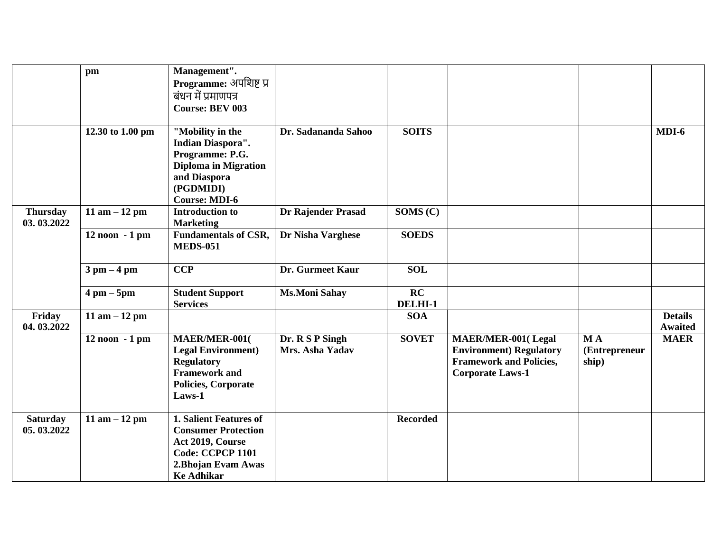|                               | pm                            | Management".                               |                      |                 |                                |               |                                  |
|-------------------------------|-------------------------------|--------------------------------------------|----------------------|-----------------|--------------------------------|---------------|----------------------------------|
|                               |                               | Programme: अपशिष्ट प्र                     |                      |                 |                                |               |                                  |
|                               |                               | बंधन में प्रमाणपत्र                        |                      |                 |                                |               |                                  |
|                               |                               | <b>Course: BEV 003</b>                     |                      |                 |                                |               |                                  |
|                               |                               |                                            |                      |                 |                                |               |                                  |
|                               | 12.30 to 1.00 pm              | "Mobility in the                           | Dr. Sadananda Sahoo  | <b>SOITS</b>    |                                |               | $MDI-6$                          |
|                               |                               | <b>Indian Diaspora".</b>                   |                      |                 |                                |               |                                  |
|                               |                               | Programme: P.G.                            |                      |                 |                                |               |                                  |
|                               |                               | <b>Diploma in Migration</b>                |                      |                 |                                |               |                                  |
|                               |                               | and Diaspora                               |                      |                 |                                |               |                                  |
|                               |                               | (PGDMIDI)                                  |                      |                 |                                |               |                                  |
|                               |                               | <b>Course: MDI-6</b>                       |                      |                 |                                |               |                                  |
| <b>Thursday</b><br>03.03.2022 | 11 am $-12$ pm                | <b>Introduction to</b><br><b>Marketing</b> | Dr Rajender Prasad   | SOMS (C)        |                                |               |                                  |
|                               | $12$ noon $-1$ pm             | <b>Fundamentals of CSR,</b>                | Dr Nisha Varghese    | <b>SOEDS</b>    |                                |               |                                  |
|                               |                               | <b>MEDS-051</b>                            |                      |                 |                                |               |                                  |
|                               |                               |                                            |                      |                 |                                |               |                                  |
|                               | $3 \text{ pm} - 4 \text{ pm}$ | <b>CCP</b>                                 | Dr. Gurmeet Kaur     | <b>SOL</b>      |                                |               |                                  |
|                               |                               |                                            |                      |                 |                                |               |                                  |
|                               | $4 \text{ pm} - 5 \text{pm}$  | <b>Student Support</b>                     | <b>Ms.Moni Sahay</b> | RC              |                                |               |                                  |
|                               |                               | <b>Services</b>                            |                      | DELHI-1         |                                |               |                                  |
| Friday<br>04.03.2022          | 11 am $-12$ pm                |                                            |                      | <b>SOA</b>      |                                |               | <b>Details</b><br><b>Awaited</b> |
|                               | $12$ noon $-1$ pm             | MAER/MER-001(                              | Dr. R S P Singh      | <b>SOVET</b>    | <b>MAER/MER-001(Legal</b>      | <b>MA</b>     | <b>MAER</b>                      |
|                               |                               | <b>Legal Environment</b> )                 | Mrs. Asha Yadav      |                 | <b>Environment) Regulatory</b> | (Entrepreneur |                                  |
|                               |                               | <b>Regulatory</b>                          |                      |                 | <b>Framework and Policies,</b> | ship)         |                                  |
|                               |                               | <b>Framework and</b>                       |                      |                 | <b>Corporate Laws-1</b>        |               |                                  |
|                               |                               | Policies, Corporate                        |                      |                 |                                |               |                                  |
|                               |                               | Laws-1                                     |                      |                 |                                |               |                                  |
|                               |                               |                                            |                      |                 |                                |               |                                  |
| <b>Saturday</b>               | 11 am $-12$ pm                | <b>1. Salient Features of</b>              |                      | <b>Recorded</b> |                                |               |                                  |
| 05.03.2022                    |                               | <b>Consumer Protection</b>                 |                      |                 |                                |               |                                  |
|                               |                               | Act 2019, Course                           |                      |                 |                                |               |                                  |
|                               |                               | Code: CCPCP 1101                           |                      |                 |                                |               |                                  |
|                               |                               | 2. Bhojan Evam Awas                        |                      |                 |                                |               |                                  |
|                               |                               | <b>Ke Adhikar</b>                          |                      |                 |                                |               |                                  |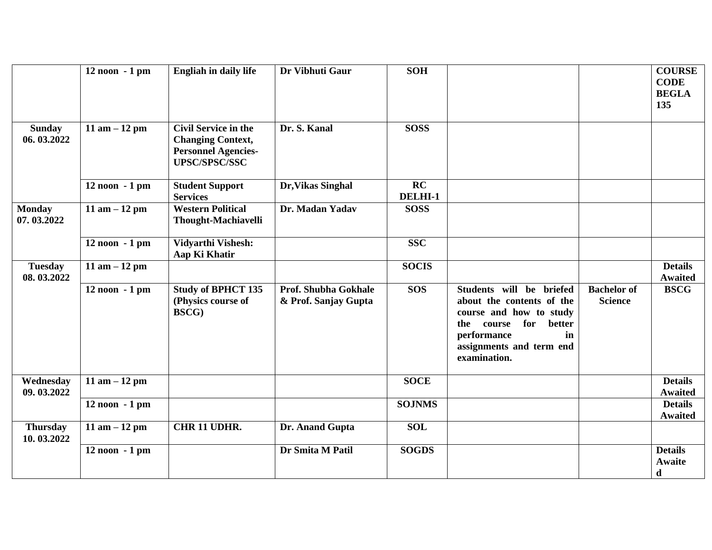|                               | $12$ noon $-1$ pm | <b>Engliah in daily life</b>                                                                                  | Dr Vibhuti Gaur                              | <b>SOH</b>    |                                                                                                                                                                                     |                                      | <b>COURSE</b><br><b>CODE</b><br><b>BEGLA</b><br>135 |
|-------------------------------|-------------------|---------------------------------------------------------------------------------------------------------------|----------------------------------------------|---------------|-------------------------------------------------------------------------------------------------------------------------------------------------------------------------------------|--------------------------------------|-----------------------------------------------------|
| <b>Sunday</b><br>06.03.2022   | 11 am $-12$ pm    | <b>Civil Service in the</b><br><b>Changing Context,</b><br><b>Personnel Agencies-</b><br><b>UPSC/SPSC/SSC</b> | Dr. S. Kanal                                 | <b>SOSS</b>   |                                                                                                                                                                                     |                                      |                                                     |
|                               | 12 noon - 1 pm    | <b>Student Support</b><br><b>Services</b>                                                                     | Dr, Vikas Singhal                            | RC<br>DELHI-1 |                                                                                                                                                                                     |                                      |                                                     |
| <b>Monday</b><br>07.03.2022   | 11 am $-12$ pm    | <b>Western Political</b><br><b>Thought-Machiavelli</b>                                                        | Dr. Madan Yadav                              | <b>SOSS</b>   |                                                                                                                                                                                     |                                      |                                                     |
|                               | $12$ noon $-1$ pm | <b>Vidyarthi Vishesh:</b><br>Aap Ki Khatir                                                                    |                                              | <b>SSC</b>    |                                                                                                                                                                                     |                                      |                                                     |
| <b>Tuesday</b><br>08.03.2022  | 11 am $-12$ pm    |                                                                                                               |                                              | <b>SOCIS</b>  |                                                                                                                                                                                     |                                      | <b>Details</b><br><b>Awaited</b>                    |
|                               | $12$ noon $-1$ pm | <b>Study of BPHCT 135</b><br>(Physics course of<br>BSCG)                                                      | Prof. Shubha Gokhale<br>& Prof. Sanjay Gupta | <b>SOS</b>    | Students will be briefed<br>about the contents of the<br>course and how to study<br>for<br>better<br>the<br>course<br>performance<br>in<br>assignments and term end<br>examination. | <b>Bachelor</b> of<br><b>Science</b> | <b>BSCG</b>                                         |
| Wednesday<br>09.03.2022       | 11 am $-12$ pm    |                                                                                                               |                                              | <b>SOCE</b>   |                                                                                                                                                                                     |                                      | <b>Details</b><br><b>Awaited</b>                    |
|                               | $12$ noon $-1$ pm |                                                                                                               |                                              | <b>SOJNMS</b> |                                                                                                                                                                                     |                                      | <b>Details</b><br><b>Awaited</b>                    |
| <b>Thursday</b><br>10.03.2022 | 11 am $-12$ pm    | CHR 11 UDHR.                                                                                                  | Dr. Anand Gupta                              | <b>SOL</b>    |                                                                                                                                                                                     |                                      |                                                     |
|                               | 12 noon - 1 pm    |                                                                                                               | Dr Smita M Patil                             | <b>SOGDS</b>  |                                                                                                                                                                                     |                                      | <b>Details</b><br>Awaite<br>$\mathbf d$             |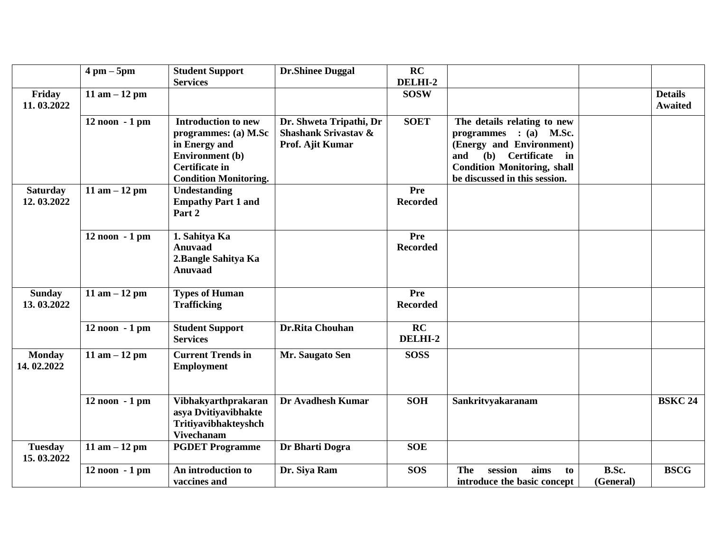|                               | $4 \text{ pm} - 5 \text{pm}$ | <b>Student Support</b>                                                                                                                                 | <b>Dr.Shinee Duggal</b>                                                        | RC                     |                                                                                                                                                                                              |                    |                                  |
|-------------------------------|------------------------------|--------------------------------------------------------------------------------------------------------------------------------------------------------|--------------------------------------------------------------------------------|------------------------|----------------------------------------------------------------------------------------------------------------------------------------------------------------------------------------------|--------------------|----------------------------------|
| Friday<br>11.03.2022          | 11 am $-12$ pm               | <b>Services</b>                                                                                                                                        |                                                                                | DELHI-2<br><b>SOSW</b> |                                                                                                                                                                                              |                    | <b>Details</b><br><b>Awaited</b> |
|                               | 12 noon - 1 pm               | <b>Introduction to new</b><br>programmes: (a) M.Sc<br>in Energy and<br><b>Environment</b> (b)<br><b>Certificate in</b><br><b>Condition Monitoring.</b> | Dr. Shweta Tripathi, Dr<br><b>Shashank Srivastav &amp;</b><br>Prof. Ajit Kumar | <b>SOET</b>            | The details relating to new<br>$:(a)$ M.Sc.<br>programmes<br>(Energy and Environment)<br>(b)<br>Certificate in<br>and<br><b>Condition Monitoring, shall</b><br>be discussed in this session. |                    |                                  |
| <b>Saturday</b><br>12.03.2022 | 11 am $-12$ pm               | <b>Undestanding</b><br><b>Empathy Part 1 and</b><br>Part 2                                                                                             |                                                                                | Pre<br><b>Recorded</b> |                                                                                                                                                                                              |                    |                                  |
|                               | 12 noon - 1 pm               | 1. Sahitya Ka<br><b>Anuvaad</b><br>2. Bangle Sahitya Ka<br><b>Anuvaad</b>                                                                              |                                                                                | Pre<br><b>Recorded</b> |                                                                                                                                                                                              |                    |                                  |
| <b>Sunday</b><br>13.03.2022   | 11 am $-12$ pm               | <b>Types of Human</b><br><b>Trafficking</b>                                                                                                            |                                                                                | Pre<br><b>Recorded</b> |                                                                                                                                                                                              |                    |                                  |
|                               | $12$ noon $-1$ pm            | <b>Student Support</b><br><b>Services</b>                                                                                                              | <b>Dr.Rita Chouhan</b>                                                         | RC<br>DELHI-2          |                                                                                                                                                                                              |                    |                                  |
| <b>Monday</b><br>14.02.2022   | 11 am $-12$ pm               | <b>Current Trends in</b><br><b>Employment</b>                                                                                                          | Mr. Saugato Sen                                                                | <b>SOSS</b>            |                                                                                                                                                                                              |                    |                                  |
|                               | $12$ noon $-1$ pm            | Vibhakyarthprakaran<br>asya Dvitiyavibhakte<br>Tritiyavibhakteyshch<br><b>Vivechanam</b>                                                               | Dr Avadhesh Kumar                                                              | <b>SOH</b>             | Sankritvyakaranam                                                                                                                                                                            |                    | <b>BSKC 24</b>                   |
| <b>Tuesday</b><br>15.03.2022  | 11 am $-12$ pm               | <b>PGDET Programme</b>                                                                                                                                 | Dr Bharti Dogra                                                                | <b>SOE</b>             |                                                                                                                                                                                              |                    |                                  |
|                               | 12 noon - 1 pm               | An introduction to<br>vaccines and                                                                                                                     | Dr. Siya Ram                                                                   | <b>SOS</b>             | <b>The</b><br>session<br>aims<br>to<br>introduce the basic concept                                                                                                                           | B.Sc.<br>(General) | <b>BSCG</b>                      |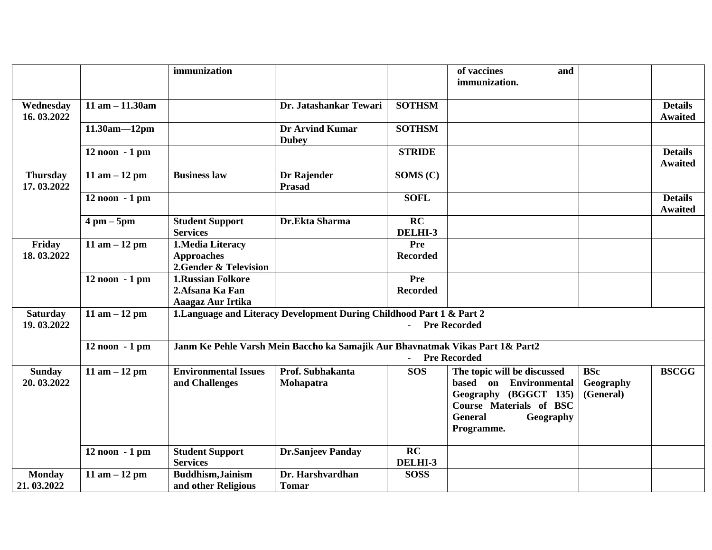|                               |                              | immunization                                                      |                                                                               |                            | of vaccines<br>and<br>immunization.                                                                                                                           |                                      |                                  |
|-------------------------------|------------------------------|-------------------------------------------------------------------|-------------------------------------------------------------------------------|----------------------------|---------------------------------------------------------------------------------------------------------------------------------------------------------------|--------------------------------------|----------------------------------|
| Wednesday<br>16.03.2022       | $11$ am $- 11.30$ am         |                                                                   | Dr. Jatashankar Tewari                                                        | <b>SOTHSM</b>              |                                                                                                                                                               |                                      | <b>Details</b><br><b>Awaited</b> |
|                               | $11.30am - 12pm$             |                                                                   | <b>Dr Arvind Kumar</b><br><b>Dubey</b>                                        | <b>SOTHSM</b>              |                                                                                                                                                               |                                      |                                  |
|                               | $12$ noon $-1$ pm            |                                                                   |                                                                               | <b>STRIDE</b>              |                                                                                                                                                               |                                      | <b>Details</b><br><b>Awaited</b> |
| <b>Thursday</b><br>17.03.2022 | $11$ am $-12$ pm             | <b>Business law</b>                                               | Dr Rajender<br><b>Prasad</b>                                                  | SOMS (C)                   |                                                                                                                                                               |                                      |                                  |
|                               | $12$ noon $-1$ pm            |                                                                   |                                                                               | <b>SOFL</b>                |                                                                                                                                                               |                                      | <b>Details</b><br><b>Awaited</b> |
|                               | $4 \text{ pm} - 5 \text{pm}$ | <b>Student Support</b><br><b>Services</b>                         | Dr.Ekta Sharma                                                                | RC<br>DELHI-3              |                                                                                                                                                               |                                      |                                  |
| Friday<br>18.03.2022          | 11 am $-12$ pm               | 1. Media Literacy<br><b>Approaches</b><br>2. Gender & Television  |                                                                               | Pre<br><b>Recorded</b>     |                                                                                                                                                               |                                      |                                  |
|                               | $12$ noon $-1$ pm            | <b>1.Russian Folkore</b><br>2. Afsana Ka Fan<br>Aaagaz Aur Irtika |                                                                               | Pre<br><b>Recorded</b>     |                                                                                                                                                               |                                      |                                  |
| <b>Saturday</b><br>19.03.2022 | $11$ am $-12$ pm             |                                                                   | 1. Language and Literacy Development During Childhood Part 1 & Part 2         | $\Delta \sim 10^4$         | <b>Pre Recorded</b>                                                                                                                                           |                                      |                                  |
|                               | $12$ noon $-1$ pm            |                                                                   | Janm Ke Pehle Varsh Mein Baccho ka Samajik Aur Bhavnatmak Vikas Part 1& Part2 | $\omega_{\rm{max}}$        | <b>Pre Recorded</b>                                                                                                                                           |                                      |                                  |
| <b>Sunday</b><br>20.03.2022   | $11$ am $-12$ pm             | <b>Environmental Issues</b><br>and Challenges                     | Prof. Subhakanta<br>Mohapatra                                                 | <b>SOS</b>                 | The topic will be discussed<br>based on Environmental<br>Geography (BGGCT 135)<br><b>Course Materials of BSC</b><br><b>General</b><br>Geography<br>Programme. | <b>BSc</b><br>Geography<br>(General) | <b>BSCGG</b>                     |
|                               | 12 noon - 1 pm               | <b>Student Support</b><br><b>Services</b>                         | <b>Dr.Sanjeev Panday</b>                                                      | $\overline{RC}$<br>DELHI-3 |                                                                                                                                                               |                                      |                                  |
| <b>Monday</b><br>21.03.2022   | $11$ am $-12$ pm             | <b>Buddhism, Jainism</b><br>and other Religious                   | Dr. Harshvardhan<br><b>Tomar</b>                                              | <b>SOSS</b>                |                                                                                                                                                               |                                      |                                  |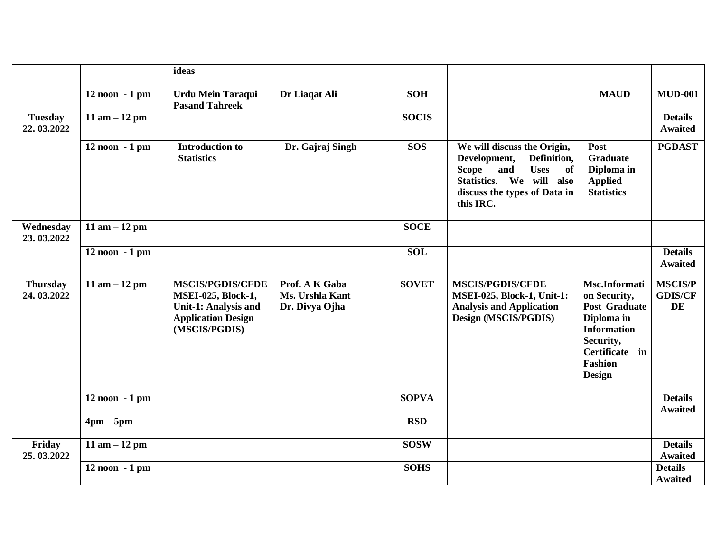|                               |                   | ideas                                                                                                                      |                                                     |              |                                                                                                                                                                                 |                                                                                                                                                      |                                               |
|-------------------------------|-------------------|----------------------------------------------------------------------------------------------------------------------------|-----------------------------------------------------|--------------|---------------------------------------------------------------------------------------------------------------------------------------------------------------------------------|------------------------------------------------------------------------------------------------------------------------------------------------------|-----------------------------------------------|
|                               | $12$ noon $-1$ pm | <b>Urdu Mein Taraqui</b><br><b>Pasand Tahreek</b>                                                                          | Dr Liaqat Ali                                       | <b>SOH</b>   |                                                                                                                                                                                 | <b>MAUD</b>                                                                                                                                          | <b>MUD-001</b>                                |
| <b>Tuesday</b><br>22.03.2022  | 11 am $-12$ pm    |                                                                                                                            |                                                     | <b>SOCIS</b> |                                                                                                                                                                                 |                                                                                                                                                      | <b>Details</b><br><b>Awaited</b>              |
|                               | $12$ noon $-1$ pm | <b>Introduction to</b><br><b>Statistics</b>                                                                                | Dr. Gajraj Singh                                    | <b>SOS</b>   | We will discuss the Origin,<br>Development,<br>Definition,<br><b>Uses</b><br>and<br><b>Scope</b><br>of<br>Statistics. We will also<br>discuss the types of Data in<br>this IRC. | Post<br><b>Graduate</b><br>Diploma in<br><b>Applied</b><br><b>Statistics</b>                                                                         | <b>PGDAST</b>                                 |
| Wednesday<br>23.03.2022       | 11 am $-12$ pm    |                                                                                                                            |                                                     | <b>SOCE</b>  |                                                                                                                                                                                 |                                                                                                                                                      |                                               |
|                               | $12$ noon $-1$ pm |                                                                                                                            |                                                     | <b>SOL</b>   |                                                                                                                                                                                 |                                                                                                                                                      | <b>Details</b><br><b>Awaited</b>              |
| <b>Thursday</b><br>24.03.2022 | 11 am $-12$ pm    | <b>MSCIS/PGDIS/CFDE</b><br><b>MSEI-025, Block-1,</b><br>Unit-1: Analysis and<br><b>Application Design</b><br>(MSCIS/PGDIS) | Prof. A K Gaba<br>Ms. Urshla Kant<br>Dr. Divya Ojha | <b>SOVET</b> | <b>MSCIS/PGDIS/CFDE</b><br><b>MSEI-025, Block-1, Unit-1:</b><br><b>Analysis and Application</b><br>Design (MSCIS/PGDIS)                                                         | Msc.Informati<br>on Security,<br><b>Post Graduate</b><br>Diploma in<br><b>Information</b><br>Security,<br>Certificate in<br><b>Fashion</b><br>Design | <b>MSCIS/P</b><br><b>GDIS/CF</b><br><b>DE</b> |
|                               | $12$ noon $-1$ pm |                                                                                                                            |                                                     | <b>SOPVA</b> |                                                                                                                                                                                 |                                                                                                                                                      | <b>Details</b><br><b>Awaited</b>              |
|                               | $4pm-5pm$         |                                                                                                                            |                                                     | <b>RSD</b>   |                                                                                                                                                                                 |                                                                                                                                                      |                                               |
| Friday<br>25.03.2022          | 11 am $-12$ pm    |                                                                                                                            |                                                     | <b>SOSW</b>  |                                                                                                                                                                                 |                                                                                                                                                      | <b>Details</b><br><b>Awaited</b>              |
|                               | $12$ noon $-1$ pm |                                                                                                                            |                                                     | <b>SOHS</b>  |                                                                                                                                                                                 |                                                                                                                                                      | <b>Details</b><br><b>Awaited</b>              |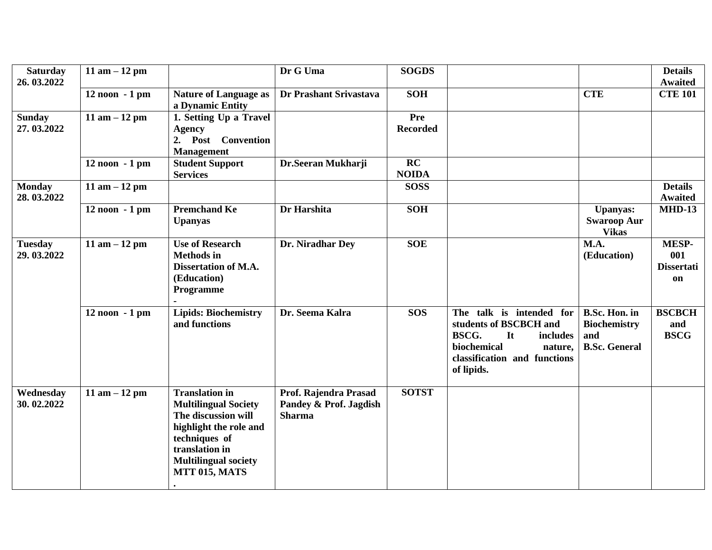| <b>Saturday</b><br>26.03.2022 | 11 am $-12$ pm    |                                                                                                                                                                                                 | Dr G Uma                                                         | <b>SOGDS</b>           |                                                                                                                                                       |                                                                            | <b>Details</b><br><b>Awaited</b>        |
|-------------------------------|-------------------|-------------------------------------------------------------------------------------------------------------------------------------------------------------------------------------------------|------------------------------------------------------------------|------------------------|-------------------------------------------------------------------------------------------------------------------------------------------------------|----------------------------------------------------------------------------|-----------------------------------------|
|                               | $12$ noon $-1$ pm | <b>Nature of Language as</b><br>a Dynamic Entity                                                                                                                                                | Dr Prashant Srivastava                                           | <b>SOH</b>             |                                                                                                                                                       | <b>CTE</b>                                                                 | <b>CTE 101</b>                          |
| <b>Sunday</b><br>27.03.2022   | 11 am $-12$ pm    | 1. Setting Up a Travel<br><b>Agency</b><br>2. Post Convention<br><b>Management</b>                                                                                                              |                                                                  | Pre<br><b>Recorded</b> |                                                                                                                                                       |                                                                            |                                         |
|                               | $12$ noon $-1$ pm | <b>Student Support</b><br><b>Services</b>                                                                                                                                                       | Dr.Seeran Mukharji                                               | RC<br><b>NOIDA</b>     |                                                                                                                                                       |                                                                            |                                         |
| <b>Monday</b><br>28.03.2022   | 11 am $-12$ pm    |                                                                                                                                                                                                 |                                                                  | <b>SOSS</b>            |                                                                                                                                                       |                                                                            | <b>Details</b><br><b>Awaited</b>        |
|                               | 12 noon - 1 pm    | <b>Premchand Ke</b><br><b>Upanyas</b>                                                                                                                                                           | Dr Harshita                                                      | <b>SOH</b>             |                                                                                                                                                       | <b>Upanyas:</b><br><b>Swaroop Aur</b><br><b>Vikas</b>                      | <b>MHD-13</b>                           |
| <b>Tuesday</b><br>29.03.2022  | 11 am $-12$ pm    | <b>Use of Research</b><br><b>Methods</b> in<br>Dissertation of M.A.<br>(Education)<br>Programme                                                                                                 | Dr. Niradhar Dey                                                 | <b>SOE</b>             |                                                                                                                                                       | M.A.<br>(Education)                                                        | MESP-<br>001<br><b>Dissertati</b><br>on |
|                               | $12$ noon $-1$ pm | <b>Lipids: Biochemistry</b><br>and functions                                                                                                                                                    | Dr. Seema Kalra                                                  | <b>SOS</b>             | The talk is intended for<br>students of BSCBCH and<br>BSCG.<br>It<br>includes<br>biochemical<br>nature,<br>classification and functions<br>of lipids. | <b>B.Sc. Hon. in</b><br><b>Biochemistry</b><br>and<br><b>B.Sc. General</b> | <b>BSCBCH</b><br>and<br><b>BSCG</b>     |
| Wednesday<br>30.02.2022       | 11 am $-12$ pm    | <b>Translation</b> in<br><b>Multilingual Society</b><br>The discussion will<br>highlight the role and<br>techniques of<br>translation in<br><b>Multilingual society</b><br><b>MTT 015, MATS</b> | Prof. Rajendra Prasad<br>Pandey & Prof. Jagdish<br><b>Sharma</b> | <b>SOTST</b>           |                                                                                                                                                       |                                                                            |                                         |